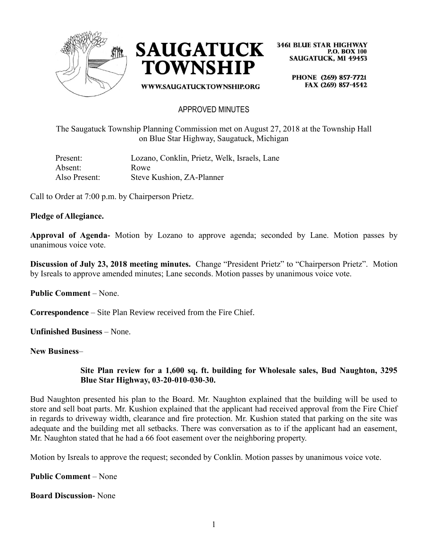



WWW.SAUGATUCKTOWNSHIP.ORG

**3461 BLUE STAR HIGHWAY P.O. BOX 100 SAUGATUCK, MI 49453** 

> PHONE (269) 857-7721 FAX (269) 857-4542

### APPROVED MINUTES

The Saugatuck Township Planning Commission met on August 27, 2018 at the Township Hall on Blue Star Highway, Saugatuck, Michigan

| Present:      | Lozano, Conklin, Prietz, Welk, Israels, Lane |
|---------------|----------------------------------------------|
| Absent:       | Rowe                                         |
| Also Present: | Steve Kushion, ZA-Planner                    |

Call to Order at 7:00 p.m. by Chairperson Prietz.

#### **Pledge of Allegiance.**

**Approval of Agenda-** Motion by Lozano to approve agenda; seconded by Lane. Motion passes by unanimous voice vote.

**Discussion of July 23, 2018 meeting minutes.** Change "President Prietz" to "Chairperson Prietz". Motion by Isreals to approve amended minutes; Lane seconds. Motion passes by unanimous voice vote.

**Public Comment** – None.

**Correspondence** – Site Plan Review received from the Fire Chief.

**Unfinished Business** – None.

**New Business**–

### **Site Plan review for a 1,600 sq. ft. building for Wholesale sales, Bud Naughton, 3295 Blue Star Highway, 03-20-010-030-30.**

Bud Naughton presented his plan to the Board. Mr. Naughton explained that the building will be used to store and sell boat parts. Mr. Kushion explained that the applicant had received approval from the Fire Chief in regards to driveway width, clearance and fire protection. Mr. Kushion stated that parking on the site was adequate and the building met all setbacks. There was conversation as to if the applicant had an easement, Mr. Naughton stated that he had a 66 foot easement over the neighboring property.

Motion by Isreals to approve the request; seconded by Conklin. Motion passes by unanimous voice vote.

**Public Comment** – None

**Board Discussion-** None